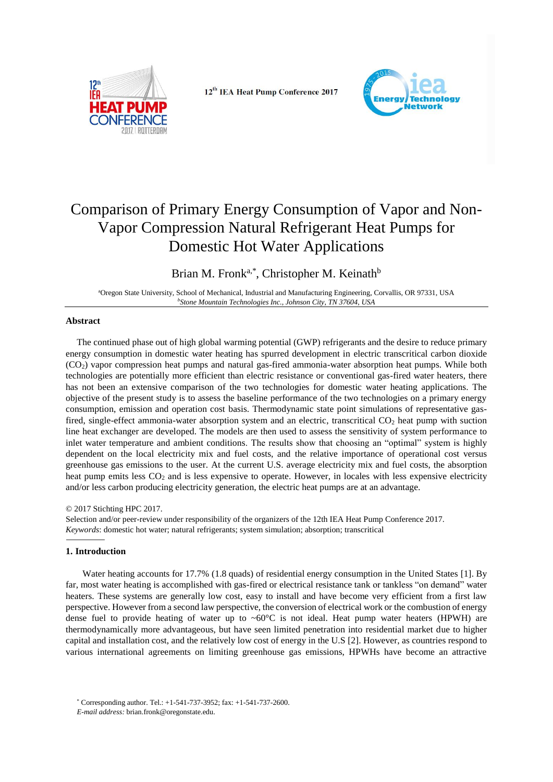

12<sup>th</sup> IEA Heat Pump Conference 2017



# Comparison of Primary Energy Consumption of Vapor and Non-Vapor Compression Natural Refrigerant Heat Pumps for Domestic Hot Water Applications

Brian M. Fronk<sup>a,\*</sup>, Christopher M. Keinath<sup>b</sup>

<sup>a</sup>Oregon State University, School of Mechanical, Industrial and Manufacturing Engineering, Corvallis, OR 97331, USA *<sup>b</sup>Stone Mountain Technologies Inc., Johnson City, TN 37604, USA*

# **Abstract**

The continued phase out of high global warming potential (GWP) refrigerants and the desire to reduce primary energy consumption in domestic water heating has spurred development in electric transcritical carbon dioxide (CO2) vapor compression heat pumps and natural gas-fired ammonia-water absorption heat pumps. While both technologies are potentially more efficient than electric resistance or conventional gas-fired water heaters, there has not been an extensive comparison of the two technologies for domestic water heating applications. The objective of the present study is to assess the baseline performance of the two technologies on a primary energy consumption, emission and operation cost basis. Thermodynamic state point simulations of representative gasfired, single-effect ammonia-water absorption system and an electric, transcritical  $CO<sub>2</sub>$  heat pump with suction line heat exchanger are developed. The models are then used to assess the sensitivity of system performance to inlet water temperature and ambient conditions. The results show that choosing an "optimal" system is highly dependent on the local electricity mix and fuel costs, and the relative importance of operational cost versus greenhouse gas emissions to the user. At the current U.S. average electricity mix and fuel costs, the absorption heat pump emits less  $CO<sub>2</sub>$  and is less expensive to operate. However, in locales with less expensive electricity and/or less carbon producing electricity generation, the electric heat pumps are at an advantage.

## © 2017 Stichting HPC 2017.

Selection and/or peer-review under responsibility of the organizers of the 12th IEA Heat Pump Conference 2017. *Keywords*: domestic hot water; natural refrigerants; system simulation; absorption; transcritical

## **1.** Introduction

Water heating accounts for 17.7% (1.8 quads) of residential energy consumption in the United States [1]. By far, most water heating is accomplished with gas-fired or electrical resistance tank or tankless "on demand" water heaters. These systems are generally low cost, easy to install and have become very efficient from a first law perspective. However from a second law perspective, the conversion of electrical work or the combustion of energy dense fuel to provide heating of water up to  $\sim 60^{\circ}$ C is not ideal. Heat pump water heaters (HPWH) are thermodynamically more advantageous, but have seen limited penetration into residential market due to higher capital and installation cost, and the relatively low cost of energy in the U.S [2]. However, as countries respond to various international agreements on limiting greenhouse gas emissions, HPWHs have become an attractive

<sup>\*</sup> Corresponding author. Tel.: +1-541-737-3952; fax: +1-541-737-2600.

*E-mail address:* brian.fronk@oregonstate.edu.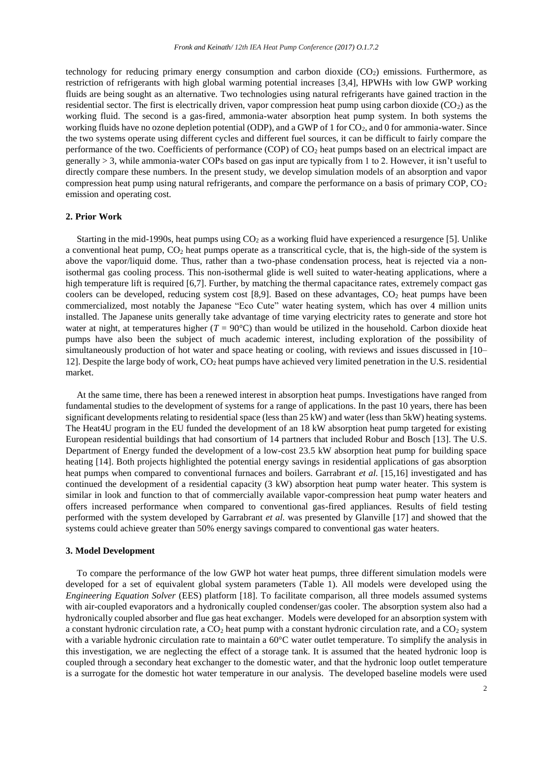technology for reducing primary energy consumption and carbon dioxide  $(CO<sub>2</sub>)$  emissions. Furthermore, as restriction of refrigerants with high global warming potential increases [3,4], HPWHs with low GWP working fluids are being sought as an alternative. Two technologies using natural refrigerants have gained traction in the residential sector. The first is electrically driven, vapor compression heat pump using carbon dioxide  $(CO<sub>2</sub>)$  as the working fluid. The second is a gas-fired, ammonia-water absorption heat pump system. In both systems the working fluids have no ozone depletion potential (ODP), and a GWP of 1 for CO<sub>2</sub>, and 0 for ammonia-water. Since the two systems operate using different cycles and different fuel sources, it can be difficult to fairly compare the performance of the two. Coefficients of performance (COP) of CO<sup>2</sup> heat pumps based on an electrical impact are generally > 3, while ammonia-water COPs based on gas input are typically from 1 to 2. However, it isn't useful to directly compare these numbers. In the present study, we develop simulation models of an absorption and vapor compression heat pump using natural refrigerants, and compare the performance on a basis of primary COP, CO<sup>2</sup> emission and operating cost.

## **2. Prior Work**

Starting in the mid-1990s, heat pumps using  $CO<sub>2</sub>$  as a working fluid have experienced a resurgence [5]. Unlike a conventional heat pump,  $CO<sub>2</sub>$  heat pumps operate as a transcritical cycle, that is, the high-side of the system is above the vapor/liquid dome. Thus, rather than a two-phase condensation process, heat is rejected via a nonisothermal gas cooling process. This non-isothermal glide is well suited to water-heating applications, where a high temperature lift is required [6,7]. Further, by matching the thermal capacitance rates, extremely compact gas coolers can be developed, reducing system cost [8,9]. Based on these advantages,  $CO<sub>2</sub>$  heat pumps have been commercialized, most notably the Japanese "Eco Cute" water heating system, which has over 4 million units installed. The Japanese units generally take advantage of time varying electricity rates to generate and store hot water at night, at temperatures higher  $(T = 90^{\circ}\text{C})$  than would be utilized in the household. Carbon dioxide heat pumps have also been the subject of much academic interest, including exploration of the possibility of simultaneously production of hot water and space heating or cooling, with reviews and issues discussed in [10– 12]. Despite the large body of work, CO<sub>2</sub> heat pumps have achieved very limited penetration in the U.S. residential market.

At the same time, there has been a renewed interest in absorption heat pumps. Investigations have ranged from fundamental studies to the development of systems for a range of applications. In the past 10 years, there has been significant developments relating to residential space (less than 25 kW) and water (less than 5kW) heating systems. The Heat4U program in the EU funded the development of an 18 kW absorption heat pump targeted for existing European residential buildings that had consortium of 14 partners that included Robur and Bosch [13]. The U.S. Department of Energy funded the development of a low-cost 23.5 kW absorption heat pump for building space heating [14]. Both projects highlighted the potential energy savings in residential applications of gas absorption heat pumps when compared to conventional furnaces and boilers. Garrabrant *et al.* [15,16] investigated and has continued the development of a residential capacity (3 kW) absorption heat pump water heater. This system is similar in look and function to that of commercially available vapor-compression heat pump water heaters and offers increased performance when compared to conventional gas-fired appliances. Results of field testing performed with the system developed by Garrabrant *et al.* was presented by Glanville [17] and showed that the systems could achieve greater than 50% energy savings compared to conventional gas water heaters.

#### **3. Model Development**

To compare the performance of the low GWP hot water heat pumps, three different simulation models were developed for a set of equivalent global system parameters (Table 1). All models were developed using the *Engineering Equation Solver* (EES) platform [18]. To facilitate comparison, all three models assumed systems with air-coupled evaporators and a hydronically coupled condenser/gas cooler. The absorption system also had a hydronically coupled absorber and flue gas heat exchanger. Models were developed for an absorption system with a constant hydronic circulation rate, a  $CO<sub>2</sub>$  heat pump with a constant hydronic circulation rate, and a  $CO<sub>2</sub>$  system with a variable hydronic circulation rate to maintain a 60°C water outlet temperature. To simplify the analysis in this investigation, we are neglecting the effect of a storage tank. It is assumed that the heated hydronic loop is coupled through a secondary heat exchanger to the domestic water, and that the hydronic loop outlet temperature is a surrogate for the domestic hot water temperature in our analysis. The developed baseline models were used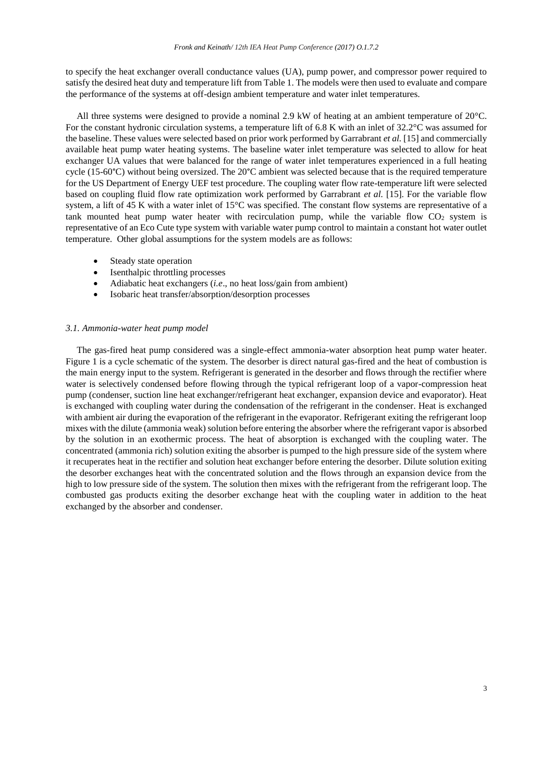to specify the heat exchanger overall conductance values (UA), pump power, and compressor power required to satisfy the desired heat duty and temperature lift from Table 1. The models were then used to evaluate and compare the performance of the systems at off-design ambient temperature and water inlet temperatures.

All three systems were designed to provide a nominal 2.9 kW of heating at an ambient temperature of 20°C. For the constant hydronic circulation systems, a temperature lift of 6.8 K with an inlet of 32.2°C was assumed for the baseline. These values were selected based on prior work performed by Garrabrant *et al.* [15] and commercially available heat pump water heating systems. The baseline water inlet temperature was selected to allow for heat exchanger UA values that were balanced for the range of water inlet temperatures experienced in a full heating cycle (15-60°C) without being oversized. The 20°C ambient was selected because that is the required temperature for the US Department of Energy UEF test procedure. The coupling water flow rate-temperature lift were selected based on coupling fluid flow rate optimization work performed by Garrabrant *et al.* [15]. For the variable flow system, a lift of 45 K with a water inlet of 15°C was specified. The constant flow systems are representative of a tank mounted heat pump water heater with recirculation pump, while the variable flow  $CO<sub>2</sub>$  system is representative of an Eco Cute type system with variable water pump control to maintain a constant hot water outlet temperature. Other global assumptions for the system models are as follows:

- Steady state operation
- Isenthalpic throttling processes
- Adiabatic heat exchangers (*i.e*., no heat loss/gain from ambient)
- Isobaric heat transfer/absorption/desorption processes

## *3.1. Ammonia-water heat pump model*

The gas-fired heat pump considered was a single-effect ammonia-water absorption heat pump water heater. Figure 1 is a cycle schematic of the system. The desorber is direct natural gas-fired and the heat of combustion is the main energy input to the system. Refrigerant is generated in the desorber and flows through the rectifier where water is selectively condensed before flowing through the typical refrigerant loop of a vapor-compression heat pump (condenser, suction line heat exchanger/refrigerant heat exchanger, expansion device and evaporator). Heat is exchanged with coupling water during the condensation of the refrigerant in the condenser. Heat is exchanged with ambient air during the evaporation of the refrigerant in the evaporator. Refrigerant exiting the refrigerant loop mixes with the dilute (ammonia weak) solution before entering the absorber where the refrigerant vapor is absorbed by the solution in an exothermic process. The heat of absorption is exchanged with the coupling water. The concentrated (ammonia rich) solution exiting the absorber is pumped to the high pressure side of the system where it recuperates heat in the rectifier and solution heat exchanger before entering the desorber. Dilute solution exiting the desorber exchanges heat with the concentrated solution and the flows through an expansion device from the high to low pressure side of the system. The solution then mixes with the refrigerant from the refrigerant loop. The combusted gas products exiting the desorber exchange heat with the coupling water in addition to the heat exchanged by the absorber and condenser.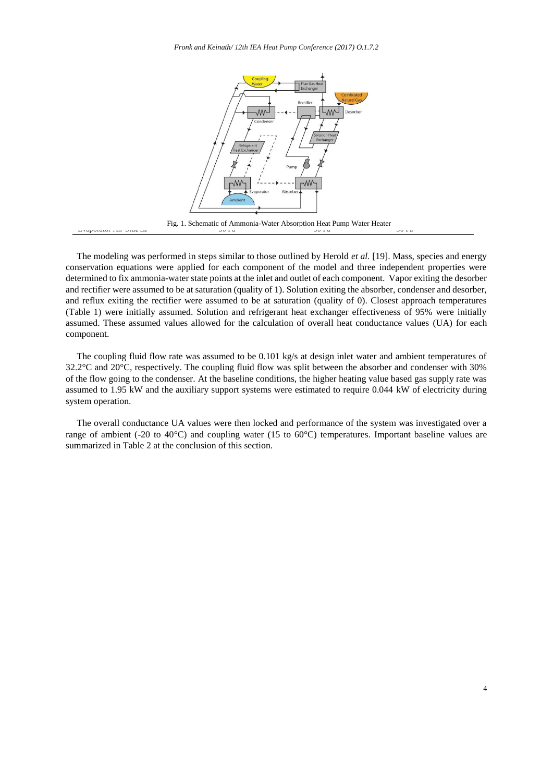*Fronk and Keinath/ 12th IEA Heat Pump Conference (2017) O.1.7.2*



The modeling was performed in steps similar to those outlined by Herold *et al.* [19]. Mass, species and energy conservation equations were applied for each component of the model and three independent properties were determined to fix ammonia-water state points at the inlet and outlet of each component. Vapor exiting the desorber and rectifier were assumed to be at saturation (quality of 1). Solution exiting the absorber, condenser and desorber, and reflux exiting the rectifier were assumed to be at saturation (quality of 0). Closest approach temperatures (Table 1) were initially assumed. Solution and refrigerant heat exchanger effectiveness of 95% were initially assumed. These assumed values allowed for the calculation of overall heat conductance values (UA) for each component.

The coupling fluid flow rate was assumed to be 0.101 kg/s at design inlet water and ambient temperatures of 32.2°C and 20°C, respectively. The coupling fluid flow was split between the absorber and condenser with 30% of the flow going to the condenser. At the baseline conditions, the higher heating value based gas supply rate was assumed to 1.95 kW and the auxiliary support systems were estimated to require 0.044 kW of electricity during system operation.

The overall conductance UA values were then locked and performance of the system was investigated over a range of ambient (-20 to 40°C) and coupling water (15 to 60°C) temperatures. Important baseline values are summarized in Table 2 at the conclusion of this section.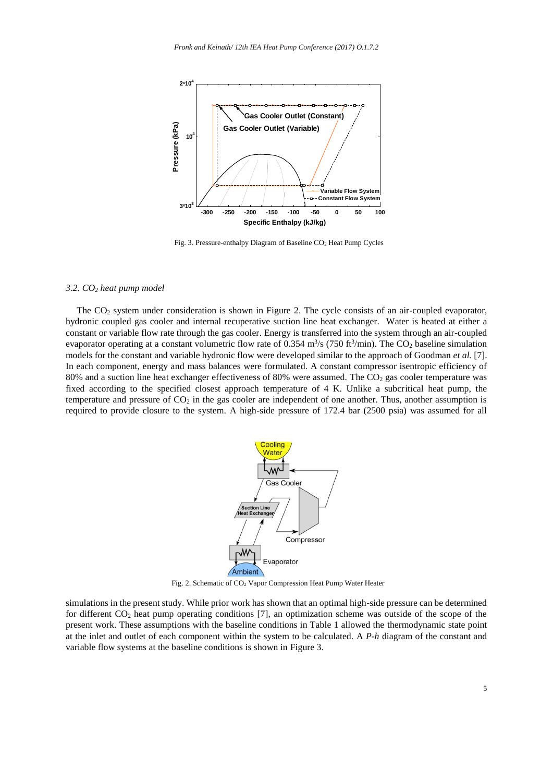

Fig. 3. Pressure-enthalpy Diagram of Baseline  $CO<sub>2</sub>$  Heat Pump Cycles

## *3.2. CO<sup>2</sup> heat pump model*

The  $CO<sub>2</sub>$  system under consideration is shown in Figure 2. The cycle consists of an air-coupled evaporator, hydronic coupled gas cooler and internal recuperative suction line heat exchanger. Water is heated at either a constant or variable flow rate through the gas cooler. Energy is transferred into the system through an air-coupled evaporator operating at a constant volumetric flow rate of 0.354  $\text{m}^3\text{/s}$  (750 ft<sup>3</sup>/min). The CO<sub>2</sub> baseline simulation models for the constant and variable hydronic flow were developed similar to the approach of Goodman *et al.* [7]. In each component, energy and mass balances were formulated. A constant compressor isentropic efficiency of 80% and a suction line heat exchanger effectiveness of 80% were assumed. The CO<sub>2</sub> gas cooler temperature was fixed according to the specified closest approach temperature of 4 K. Unlike a subcritical heat pump, the temperature and pressure of  $CO<sub>2</sub>$  in the gas cooler are independent of one another. Thus, another assumption is required to provide closure to the system. A high-side pressure of 172.4 bar (2500 psia) was assumed for all



Fig. 2. Schematic of CO<sup>2</sup> Vapor Compression Heat Pump Water Heater

simulations in the present study. While prior work has shown that an optimal high-side pressure can be determined for different CO<sup>2</sup> heat pump operating conditions [7], an optimization scheme was outside of the scope of the present work. These assumptions with the baseline conditions in Table 1 allowed the thermodynamic state point at the inlet and outlet of each component within the system to be calculated. A *P*-*h* diagram of the constant and variable flow systems at the baseline conditions is shown in Figure 3.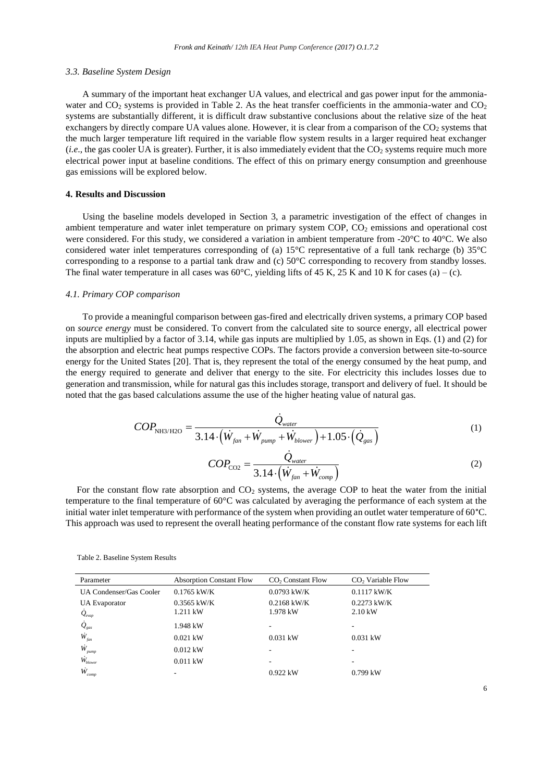#### *3.3. Baseline System Design*

A summary of the important heat exchanger UA values, and electrical and gas power input for the ammoniawater and  $CO<sub>2</sub>$  systems is provided in Table 2. As the heat transfer coefficients in the ammonia-water and  $CO<sub>2</sub>$ systems are substantially different, it is difficult draw substantive conclusions about the relative size of the heat exchangers by directly compare UA values alone. However, it is clear from a comparison of the CO<sub>2</sub> systems that the much larger temperature lift required in the variable flow system results in a larger required heat exchanger  $(i.e.,$  the gas cooler UA is greater). Further, it is also immediately evident that the  $CO<sub>2</sub>$  systems require much more electrical power input at baseline conditions. The effect of this on primary energy consumption and greenhouse gas emissions will be explored below.

## **4. Results and Discussion**

Using the baseline models developed in Section 3, a parametric investigation of the effect of changes in ambient temperature and water inlet temperature on primary system COP, CO<sub>2</sub> emissions and operational cost were considered. For this study, we considered a variation in ambient temperature from -20°C to 40°C. We also considered water inlet temperatures corresponding of (a) 15°C representative of a full tank recharge (b) 35°C corresponding to a response to a partial tank draw and (c) 50°C corresponding to recovery from standby losses. The final water temperature in all cases was  $60^{\circ}$ C, yielding lifts of 45 K, 25 K and 10 K for cases (a) – (c).

## *4.1. Primary COP comparison*

To provide a meaningful comparison between gas-fired and electrically driven systems, a primary COP based on *source energy* must be considered. To convert from the calculated site to source energy, all electrical power inputs are multiplied by a factor of 3.14, while gas inputs are multiplied by 1.05, as shown in Eqs. (1) and (2) for the absorption and electric heat pumps respective COPs. The factors provide a conversion between site-to-source energy for the United States [20]. That is, they represent the total of the energy consumed by the heat pump, and the energy required to generate and deliver that energy to the site. For electricity this includes losses due to generation and transmission, while for natural gas this includes storage, transport and delivery of fuel. It should be noted that the gas based calculations assume the use of the higher heating value of natural gas.

$$
COP_{\text{NH3/H2O}} = \frac{\dot{Q}_{\text{water}}}{3.14 \cdot (\dot{W}_{\text{fan}} + \dot{W}_{\text{pump}} + \dot{W}_{\text{blower}}) + 1.05 \cdot (\dot{Q}_{\text{gas}})}
$$
(1)

$$
COP_{\text{CO2}} = \frac{\dot{Q}_{water}}{3.14 \cdot (\dot{W}_{fan} + \dot{W}_{comp})}
$$
 (2)

For the constant flow rate absorption and  $CO<sub>2</sub>$  systems, the average COP to heat the water from the initial temperature to the final temperature of 60°C was calculated by averaging the performance of each system at the initial water inlet temperature with performance of the system when providing an outlet water temperature of 60°C. This approach was used to represent the overall heating performance of the constant flow rate systems for each lift

| Parameter                                    | <b>Absorption Constant Flow</b> | CO <sub>2</sub> Constant Flow | $CO2$ Variable Flow |
|----------------------------------------------|---------------------------------|-------------------------------|---------------------|
| UA Condenser/Gas Cooler                      | $0.1765$ kW/K                   | $0.0793$ kW/K                 | $0.1117$ kW/K       |
| <b>UA</b> Evaporator                         | $0.3565$ kW/K                   | $0.2168$ kW/K                 | $0.2273$ kW/K       |
| $\dot{Q}_{evap}$                             | 1.211 kW                        | 1.978 kW                      | $2.10 \text{ kW}$   |
| $\dot{\mathcal{Q}}_{\scriptscriptstyle gas}$ | 1.948 kW                        |                               | ۰                   |
| $\dot{W}_{\scriptscriptstyle{fan}}$          | $0.021$ kW                      | $0.031$ kW                    | $0.031$ kW          |
| W<br>pump                                    | $0.012$ kW                      |                               |                     |
| $\dot{W_{\scriptscriptstyle blower}}$        | $0.011$ kW                      | -                             | -                   |
| Ŵ<br>comp                                    |                                 | $0.922$ kW                    | $0.799$ kW          |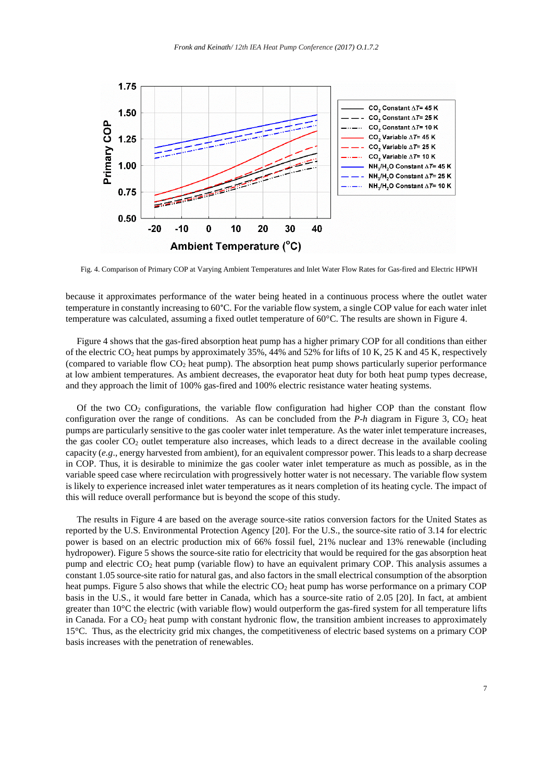

Fig. 4. Comparison of Primary COP at Varying Ambient Temperatures and Inlet Water Flow Rates for Gas-fired and Electric HPWH

because it approximates performance of the water being heated in a continuous process where the outlet water temperature in constantly increasing to 60°C. For the variable flow system, a single COP value for each water inlet temperature was calculated, assuming a fixed outlet temperature of 60°C. The results are shown in Figure 4.

Figure 4 shows that the gas-fired absorption heat pump has a higher primary COP for all conditions than either of the electric CO<sup>2</sup> heat pumps by approximately 35%, 44% and 52% for lifts of 10 K, 25 K and 45 K, respectively (compared to variable flow  $CO<sub>2</sub>$  heat pump). The absorption heat pump shows particularly superior performance at low ambient temperatures. As ambient decreases, the evaporator heat duty for both heat pump types decrease, and they approach the limit of 100% gas-fired and 100% electric resistance water heating systems.

Of the two  $CO<sub>2</sub>$  configurations, the variable flow configuration had higher COP than the constant flow configuration over the range of conditions. As can be concluded from the  $P-h$  diagram in Figure 3,  $CO<sub>2</sub>$  heat pumps are particularly sensitive to the gas cooler water inlet temperature. As the water inlet temperature increases, the gas cooler CO<sup>2</sup> outlet temperature also increases, which leads to a direct decrease in the available cooling capacity (*e.g*., energy harvested from ambient), for an equivalent compressor power. This leads to a sharp decrease in COP. Thus, it is desirable to minimize the gas cooler water inlet temperature as much as possible, as in the variable speed case where recirculation with progressively hotter water is not necessary. The variable flow system is likely to experience increased inlet water temperatures as it nears completion of its heating cycle. The impact of this will reduce overall performance but is beyond the scope of this study.

The results in Figure 4 are based on the average source-site ratios conversion factors for the United States as reported by the U.S. Environmental Protection Agency [20]. For the U.S., the source-site ratio of 3.14 for electric power is based on an electric production mix of 66% fossil fuel, 21% nuclear and 13% renewable (including hydropower). Figure 5 shows the source-site ratio for electricity that would be required for the gas absorption heat pump and electric  $CO<sub>2</sub>$  heat pump (variable flow) to have an equivalent primary COP. This analysis assumes a constant 1.05 source-site ratio for natural gas, and also factors in the small electrical consumption of the absorption heat pumps. Figure 5 also shows that while the electric CO<sub>2</sub> heat pump has worse performance on a primary COP basis in the U.S., it would fare better in Canada, which has a source-site ratio of 2.05 [20]. In fact, at ambient greater than 10°C the electric (with variable flow) would outperform the gas-fired system for all temperature lifts in Canada. For a  $CO<sub>2</sub>$  heat pump with constant hydronic flow, the transition ambient increases to approximately 15°C. Thus, as the electricity grid mix changes, the competitiveness of electric based systems on a primary COP basis increases with the penetration of renewables.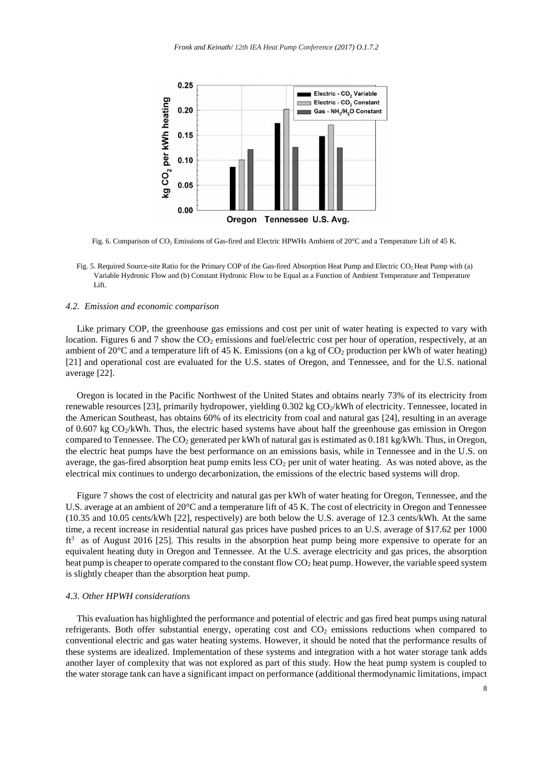

Fig. 6. Comparison of CO<sub>2</sub> Emissions of Gas-fired and Electric HPWHs Ambient of 20°C and a Temperature Lift of 45 K.

Fig. 5. Required Source-site Ratio for the Primary COP of the Gas-fired Absorption Heat Pump and Electric CO<sub>2</sub> Heat Pump with (a) Variable Hydronic Flow and (b) Constant Hydronic Flow to be Equal as a Function of Ambient Temperature and Temperature Lift.

## *4.2. Emission and economic comparison*

Like primary COP, the greenhouse gas emissions and cost per unit of water heating is expected to vary with location. Figures 6 and 7 show the CO<sub>2</sub> emissions and fuel/electric cost per hour of operation, respectively, at an ambient of 20°C and a temperature lift of 45 K. Emissions (on a kg of CO<sub>2</sub> production per kWh of water heating) [21] and operational cost are evaluated for the U.S. states of Oregon, and Tennessee, and for the U.S. national average [22].

Oregon is located in the Pacific Northwest of the United States and obtains nearly 73% of its electricity from renewable resources [23], primarily hydropower, yielding  $0.302$  kg  $CO<sub>2</sub>/kWh$  of electricity. Tennessee, located in the American Southeast, has obtains 60% of its electricity from coal and natural gas [24], resulting in an average of 0.607 kg CO2/kWh. Thus, the electric based systems have about half the greenhouse gas emission in Oregon compared to Tennessee. The  $CO<sub>2</sub>$  generated per kWh of natural gas is estimated as  $0.181 \text{ kg/kWh}$ . Thus, in Oregon, the electric heat pumps have the best performance on an emissions basis, while in Tennessee and in the U.S. on average, the gas-fired absorption heat pump emits less  $CO<sub>2</sub>$  per unit of water heating. As was noted above, as the electrical mix continues to undergo decarbonization, the emissions of the electric based systems will drop.

Figure 7 shows the cost of electricity and natural gas per kWh of water heating for Oregon, Tennessee, and the U.S. average at an ambient of 20°C and a temperature lift of 45 K. The cost of electricity in Oregon and Tennessee (10.35 and 10.05 cents/kWh [22], respectively) are both below the U.S. average of 12.3 cents/kWh. At the same time, a recent increase in residential natural gas prices have pushed prices to an U.S. average of \$17.62 per 1000 ft<sup>3</sup> as of August 2016 [25]. This results in the absorption heat pump being more expensive to operate for an equivalent heating duty in Oregon and Tennessee. At the U.S. average electricity and gas prices, the absorption heat pump is cheaper to operate compared to the constant flow  $CO<sub>2</sub>$  heat pump. However, the variable speed system is slightly cheaper than the absorption heat pump.

## *4.3. Other HPWH considerations*

This evaluation has highlighted the performance and potential of electric and gas fired heat pumps using natural refrigerants. Both offer substantial energy, operating cost and  $CO<sub>2</sub>$  emissions reductions when compared to conventional electric and gas water heating systems. However, it should be noted that the performance results of these systems are idealized. Implementation of these systems and integration with a hot water storage tank adds another layer of complexity that was not explored as part of this study. How the heat pump system is coupled to the water storage tank can have a significant impact on performance (additional thermodynamic limitations, impact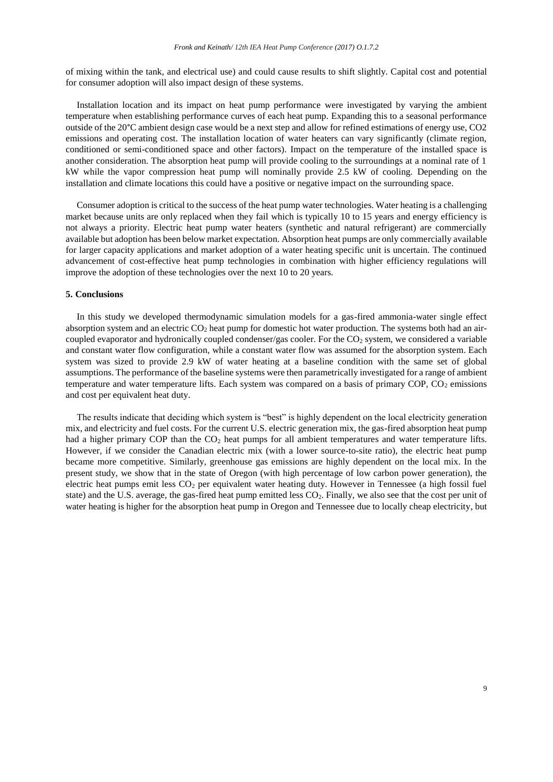of mixing within the tank, and electrical use) and could cause results to shift slightly. Capital cost and potential for consumer adoption will also impact design of these systems.

Installation location and its impact on heat pump performance were investigated by varying the ambient temperature when establishing performance curves of each heat pump. Expanding this to a seasonal performance outside of the 20°C ambient design case would be a next step and allow for refined estimations of energy use, CO2 emissions and operating cost. The installation location of water heaters can vary significantly (climate region, conditioned or semi-conditioned space and other factors). Impact on the temperature of the installed space is another consideration. The absorption heat pump will provide cooling to the surroundings at a nominal rate of 1 kW while the vapor compression heat pump will nominally provide 2.5 kW of cooling. Depending on the installation and climate locations this could have a positive or negative impact on the surrounding space.

Consumer adoption is critical to the success of the heat pump water technologies. Water heating is a challenging market because units are only replaced when they fail which is typically 10 to 15 years and energy efficiency is not always a priority. Electric heat pump water heaters (synthetic and natural refrigerant) are commercially available but adoption has been below market expectation. Absorption heat pumps are only commercially available for larger capacity applications and market adoption of a water heating specific unit is uncertain. The continued advancement of cost-effective heat pump technologies in combination with higher efficiency regulations will improve the adoption of these technologies over the next 10 to 20 years.

## **5. Conclusions**

In this study we developed thermodynamic simulation models for a gas-fired ammonia-water single effect absorption system and an electric  $CO<sub>2</sub>$  heat pump for domestic hot water production. The systems both had an aircoupled evaporator and hydronically coupled condenser/gas cooler. For the CO<sub>2</sub> system, we considered a variable and constant water flow configuration, while a constant water flow was assumed for the absorption system. Each system was sized to provide 2.9 kW of water heating at a baseline condition with the same set of global assumptions. The performance of the baseline systems were then parametrically investigated for a range of ambient temperature and water temperature lifts. Each system was compared on a basis of primary  $COP$ ,  $CO<sub>2</sub>$  emissions and cost per equivalent heat duty.

The results indicate that deciding which system is "best" is highly dependent on the local electricity generation mix, and electricity and fuel costs. For the current U.S. electric generation mix, the gas-fired absorption heat pump had a higher primary COP than the CO<sub>2</sub> heat pumps for all ambient temperatures and water temperature lifts. However, if we consider the Canadian electric mix (with a lower source-to-site ratio), the electric heat pump became more competitive. Similarly, greenhouse gas emissions are highly dependent on the local mix. In the present study, we show that in the state of Oregon (with high percentage of low carbon power generation), the electric heat pumps emit less  $CO<sub>2</sub>$  per equivalent water heating duty. However in Tennessee (a high fossil fuel state) and the U.S. average, the gas-fired heat pump emitted less  $CO<sub>2</sub>$ . Finally, we also see that the cost per unit of water heating is higher for the absorption heat pump in Oregon and Tennessee due to locally cheap electricity, but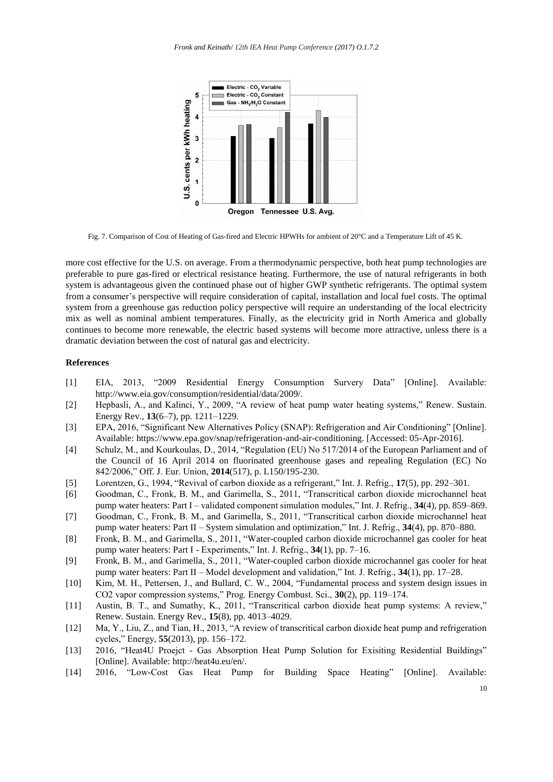

Fig. 7. Comparison of Cost of Heating of Gas-fired and Electric HPWHs for ambient of 20°C and a Temperature Lift of 45 K.

more cost effective for the U.S. on average. From a thermodynamic perspective, both heat pump technologies are preferable to pure gas-fired or electrical resistance heating. Furthermore, the use of natural refrigerants in both system is advantageous given the continued phase out of higher GWP synthetic refrigerants. The optimal system from a consumer's perspective will require consideration of capital, installation and local fuel costs. The optimal system from a greenhouse gas reduction policy perspective will require an understanding of the local electricity mix as well as nominal ambient temperatures. Finally, as the electricity grid in North America and globally continues to become more renewable, the electric based systems will become more attractive, unless there is a dramatic deviation between the cost of natural gas and electricity.

# **References**

- [1] EIA, 2013, "2009 Residential Energy Consumption Survery Data" [Online]. Available: http://www.eia.gov/consumption/residential/data/2009/.
- [2] Hepbasli, A., and Kalinci, Y., 2009, "A review of heat pump water heating systems," Renew. Sustain. Energy Rev., **13**(6–7), pp. 1211–1229.
- [3] EPA, 2016, "Significant New Alternatives Policy (SNAP): Refrigeration and Air Conditioning" [Online]. Available: https://www.epa.gov/snap/refrigeration-and-air-conditioning. [Accessed: 05-Apr-2016].
- [4] Schulz, M., and Kourkoulas, D., 2014, "Regulation (EU) No 517/2014 of the European Parliament and of the Council of 16 April 2014 on fluorinated greenhouse gases and repealing Regulation (EC) No 842/2006," Off. J. Eur. Union, **2014**(517), p. L150/195-230.
- [5] Lorentzen, G., 1994, "Revival of carbon dioxide as a refrigerant," Int. J. Refrig., **17**(5), pp. 292–301.
- [6] Goodman, C., Fronk, B. M., and Garimella, S., 2011, "Transcritical carbon dioxide microchannel heat pump water heaters: Part I – validated component simulation modules," Int. J. Refrig., **34**(4), pp. 859–869.
- [7] Goodman, C., Fronk, B. M., and Garimella, S., 2011, "Transcritical carbon dioxide microchannel heat pump water heaters: Part II – System simulation and optimization," Int. J. Refrig., **34**(4), pp. 870–880.
- [8] Fronk, B. M., and Garimella, S., 2011, "Water-coupled carbon dioxide microchannel gas cooler for heat pump water heaters: Part I - Experiments," Int. J. Refrig., **34**(1), pp. 7–16.
- [9] Fronk, B. M., and Garimella, S., 2011, "Water-coupled carbon dioxide microchannel gas cooler for heat pump water heaters: Part II – Model development and validation," Int. J. Refrig., **34**(1), pp. 17–28.
- [10] Kim, M. H., Pettersen, J., and Bullard, C. W., 2004, "Fundamental process and system design issues in CO2 vapor compression systems," Prog. Energy Combust. Sci., **30**(2), pp. 119–174.
- [11] Austin, B. T., and Sumathy, K., 2011, "Transcritical carbon dioxide heat pump systems: A review," Renew. Sustain. Energy Rev., **15**(8), pp. 4013–4029.
- [12] Ma, Y., Liu, Z., and Tian, H., 2013, "A review of transcritical carbon dioxide heat pump and refrigeration cycles," Energy, **55**(2013), pp. 156–172.
- [13] 2016, "Heat4U Proejct Gas Absorption Heat Pump Solution for Exisiting Residential Buildings" [Online]. Available: http://heat4u.eu/en/.
- [14] 2016, "Low-Cost Gas Heat Pump for Building Space Heating" [Online]. Available: